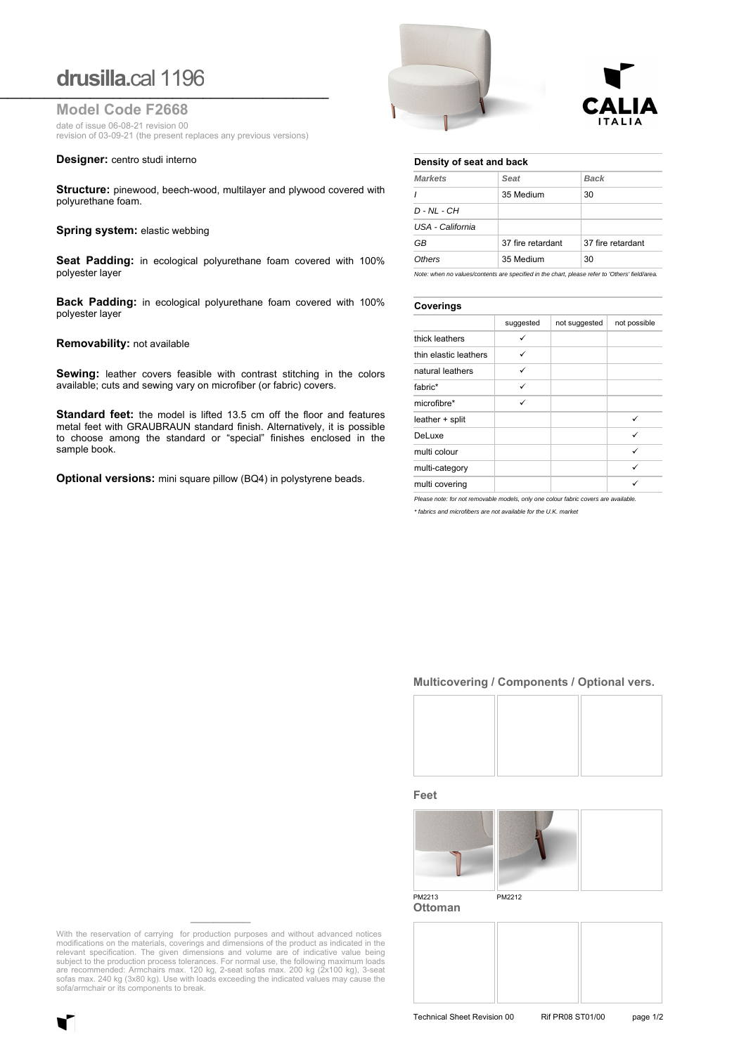# **drusilla.**cal 1196 **\_\_\_\_\_\_\_\_\_\_\_\_\_\_\_\_\_\_\_\_\_\_\_\_\_\_\_\_\_\_\_\_\_\_\_\_\_\_\_\_\_\_\_\_\_\_\_\_\_\_\_\_\_\_\_\_\_\_\_\_\_\_\_\_\_**

**Model Code F2668**

date of issue 06-08-21 revision 00 revision of 03-09-21 (the present replaces any previous versions)

**Designer:** centro studi interno

**Structure:** pinewood, beech-wood, multilayer and plywood covered with polyurethane foam.

#### **Spring system: elastic webbing**

**Seat Padding:** in ecological polyurethane foam covered with 100% polyester layer

**Back Padding:** in ecological polyurethane foam covered with 100% polyester layer

#### **Removability:** not available

**Sewing:** leather covers feasible with contrast stitching in the colors available; cuts and sewing vary on microfiber (or fabric) covers.

**Standard feet:** the model is lifted 13.5 cm off the floor and features metal feet with GRAUBRAUN standard finish. Alternatively, it is possible to choose among the standard or "special" finishes enclosed in the sample book.

**Optional versions:** mini square pillow (BQ4) in polystyrene beads.





#### **Density of seat and back**

| <b>Markets</b>   | Seat              | <b>Back</b>       |
|------------------|-------------------|-------------------|
| $\prime$         | 35 Medium         | 30                |
| $D - NL - CH$    |                   |                   |
| USA - California |                   |                   |
| GB               | 37 fire retardant | 37 fire retardant |
| Others           | 35 Medium         | 30                |
|                  |                   |                   |

*Note: when no values/contents are specified in the chart, please refer to 'Others' field/area.*

### **Coverings**

| .                     |           |               |              |
|-----------------------|-----------|---------------|--------------|
|                       | suggested | not suggested | not possible |
| thick leathers        |           |               |              |
| thin elastic leathers | ✓         |               |              |
| natural leathers      | ✓         |               |              |
| fabric*               | ✓         |               |              |
| microfibre*           | ✓         |               |              |
| leather + split       |           |               | ✓            |
| DeLuxe                |           |               | ✓            |
| multi colour          |           |               | ✓            |
| multi-category        |           |               | ✓            |
| multi covering        |           |               |              |

*Please note: for not removable models, only one colour fabric covers are available.*

*\* fabrics and microfibers are not available for the U.K. market*

## **Multicovering / Components / Optional vers.**



**Feet**



**Ottoman**

With the reservation of carrying for production purposes and without advanced notices modifications on the materials, coverings and dimensions of the product as indicated in the relevant specification. The given dimensions and volume are of indicative value being subject to the production process tolerances sofas max. 240 kg (3x80 kg). Use with loads exceeding the indicated values may cause the sofa/armchair or its components to break.